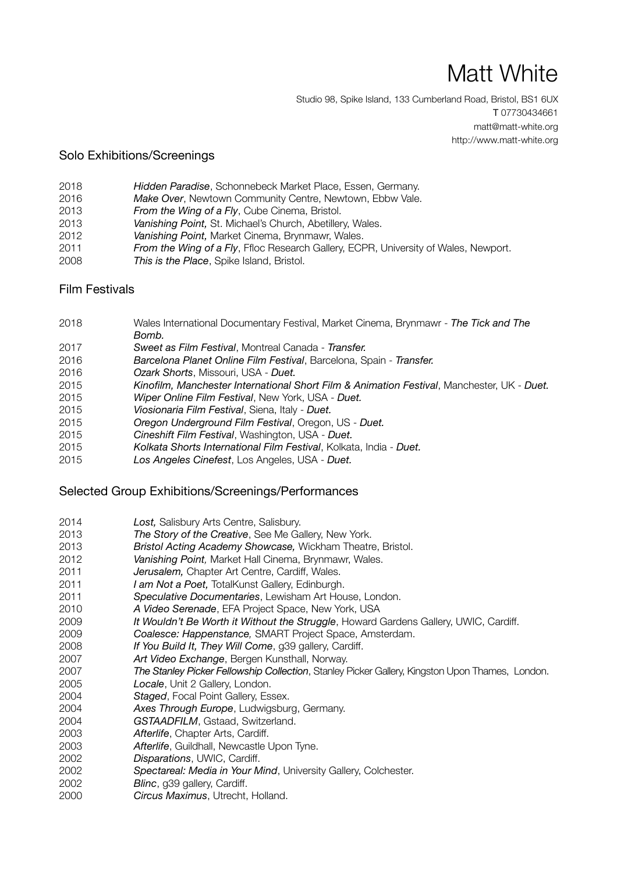# Matt White

Studio 98, Spike Island, 133 Cumberland Road, Bristol, BS1 6UX T 07730434661 matt@matt-white.org http://www.matt-white.org

#### Solo Exhibitions/Screenings

- *Hidden Paradise*, Schonnebeck Market Place, Essen, Germany.
- 2016 Make Over, Newtown Community Centre, Newtown, Ebbw Vale.
- *From the Wing of a Fly*, Cube Cinema, Bristol.
- *Vanishing Point,* St. Michael's Church, Abetillery, Wales.
- *Vanishing Point, Market Cinema, Brynmawr, Wales.*
- *From the Wing of a Fly*, Ffloc Research Gallery, ECPR, University of Wales, Newport.
- *This is the Place*, Spike Island, Bristol.

#### Film Festivals

- 2018 Wales International Documentary Festival, Market Cinema, Brynmawr *The Tick and The Bomb.*
- *Sweet as Film Festival*, Montreal Canada *Transfer.*
- *Barcelona Planet Online Film Festival*, Barcelona, Spain *Transfer.*
- *Ozark Shorts*, Missouri, USA *Duet.*
- *Kinofilm, Manchester International Short Film & Animation Festival*, Manchester, UK *Duet.*
- *Wiper Online Film Festival*, New York, USA *Duet.*
- *Viosionaria Film Festival*, Siena, Italy *Duet.*
- *Oregon Underground Film Festival*, Oregon, US *Duet.*
- *Cineshift Film Festival*, Washington, USA *Duet.*
- *Kolkata Shorts International Film Festival*, Kolkata, India *Duet.*
- *Los Angeles Cinefest*, Los Angeles, USA *Duet.*

#### Selected Group Exhibitions/Screenings/Performances

 *Lost,* Salisbury Arts Centre, Salisbury. *The Story of the Creative*, See Me Gallery, New York. *Bristol Acting Academy Showcase,* Wickham Theatre, Bristol. *Vanishing Point,* Market Hall Cinema, Brynmawr, Wales. *Jerusalem, Chapter Art Centre, Cardiff, Wales.* **I am Not a Poet, TotalKunst Gallery, Edinburgh.**  *Speculative Documentaries*, Lewisham Art House, London. *A Video Serenade*, EFA Project Space, New York, USA *It Wouldn't Be Worth it Without the Struggle*, Howard Gardens Gallery, UWIC, Cardiff. *Coalesce: Happenstance,* SMART Project Space, Amsterdam. *If You Build It, They Will Come*, g39 gallery, Cardiff. *Art Video Exchange*, Bergen Kunsthall, Norway. *The Stanley Picker Fellowship Collection*, Stanley Picker Gallery, Kingston Upon Thames, London. *Locale*, Unit 2 Gallery, London. *Staged*, Focal Point Gallery, Essex. *Axes Through Europe*, Ludwigsburg, Germany. *GSTAADFILM*, Gstaad, Switzerland. *Afterlife*, Chapter Arts, Cardiff. *Afterlife*, Guildhall, Newcastle Upon Tyne. *Disparations*, UWIC, Cardiff. *Spectareal: Media in Your Mind*, University Gallery, Colchester. *Blinc*, g39 gallery, Cardiff. *Circus Maximus*, Utrecht, Holland.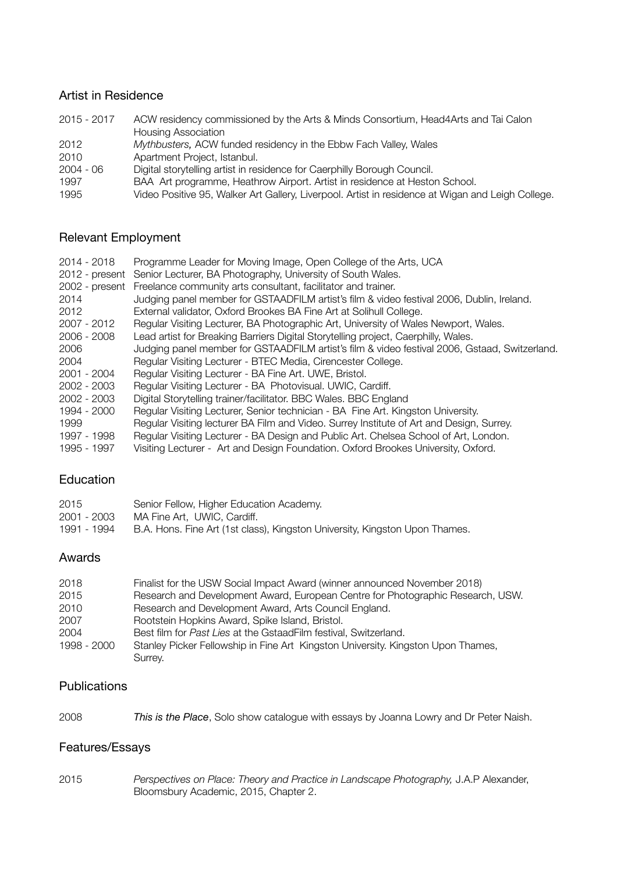## Artist in Residence

| 2015 - 2017 | ACW residency commissioned by the Arts & Minds Consortium, Head4Arts and Tai Calon                |
|-------------|---------------------------------------------------------------------------------------------------|
|             | <b>Housing Association</b>                                                                        |
| 2012        | Mythbusters, ACW funded residency in the Ebbw Fach Valley, Wales                                  |
| 2010        | Apartment Project, Istanbul.                                                                      |
| 2004 - 06   | Digital storytelling artist in residence for Caerphilly Borough Council.                          |
| 1997        | BAA Art programme, Heathrow Airport. Artist in residence at Heston School.                        |
| 1995        | Video Positive 95, Walker Art Gallery, Liverpool. Artist in residence at Wigan and Leigh College. |

# Relevant Employment

| $2014 - 2018$<br>2012 - present<br>$2002$ - present | Programme Leader for Moving Image, Open College of the Arts, UCA<br>Senior Lecturer, BA Photography, University of South Wales.<br>Freelance community arts consultant, facilitator and trainer. |
|-----------------------------------------------------|--------------------------------------------------------------------------------------------------------------------------------------------------------------------------------------------------|
| 2014                                                | Judging panel member for GSTAADFILM artist's film & video festival 2006, Dublin, Ireland.                                                                                                        |
| 2012                                                | External validator, Oxford Brookes BA Fine Art at Solihull College.                                                                                                                              |
| $2007 - 2012$                                       | Regular Visiting Lecturer, BA Photographic Art, University of Wales Newport, Wales.                                                                                                              |
| $2006 - 2008$                                       | Lead artist for Breaking Barriers Digital Storytelling project, Caerphilly, Wales.                                                                                                               |
| 2006                                                | Judging panel member for GSTAADFILM artist's film & video festival 2006, Gstaad, Switzerland.                                                                                                    |
| 2004                                                | Regular Visiting Lecturer - BTEC Media, Cirencester College.                                                                                                                                     |
| 2001 - 2004                                         | Regular Visiting Lecturer - BA Fine Art. UWE, Bristol.                                                                                                                                           |
| 2002 - 2003                                         | Regular Visiting Lecturer - BA Photovisual. UWIC, Cardiff.                                                                                                                                       |
| 2002 - 2003                                         | Digital Storytelling trainer/facilitator. BBC Wales. BBC England                                                                                                                                 |
| 1994 - 2000                                         | Regular Visiting Lecturer, Senior technician - BA Fine Art. Kingston University.                                                                                                                 |
| 1999                                                | Regular Visiting lecturer BA Film and Video. Surrey Institute of Art and Design, Surrey.                                                                                                         |
| 1997 - 1998                                         | Regular Visiting Lecturer - BA Design and Public Art. Chelsea School of Art, London.                                                                                                             |
| 1995 - 1997                                         | Visiting Lecturer - Art and Design Foundation. Oxford Brookes University, Oxford.                                                                                                                |

## Education

| 2015        | Senior Fellow, Higher Education Academy.                                    |
|-------------|-----------------------------------------------------------------------------|
| 2001 - 2003 | MA Fine Art. UWIC. Cardiff.                                                 |
| 1991 - 1994 | B.A. Hons. Fine Art (1st class), Kingston University, Kingston Upon Thames. |

## Awards

| 2018        | Finalist for the USW Social Impact Award (winner announced November 2018)        |
|-------------|----------------------------------------------------------------------------------|
| 2015        | Research and Development Award, European Centre for Photographic Research, USW.  |
| 2010        | Research and Development Award, Arts Council England.                            |
| 2007        | Rootstein Hopkins Award, Spike Island, Bristol.                                  |
| 2004        | Best film for Past Lies at the GstaadFilm festival, Switzerland.                 |
| 1998 - 2000 | Stanley Picker Fellowship in Fine Art Kingston University. Kingston Upon Thames, |
|             | Surrey.                                                                          |

#### **Publications**

| 2008 | This is the Place, Solo show catalogue with essays by Joanna Lowry and Dr Peter Naish. |
|------|----------------------------------------------------------------------------------------|
|------|----------------------------------------------------------------------------------------|

# Features/Essays

2015 *Perspectives on Place: Theory and Practice in Landscape Photography,* J.A.P Alexander, Bloomsbury Academic, 2015, Chapter 2.